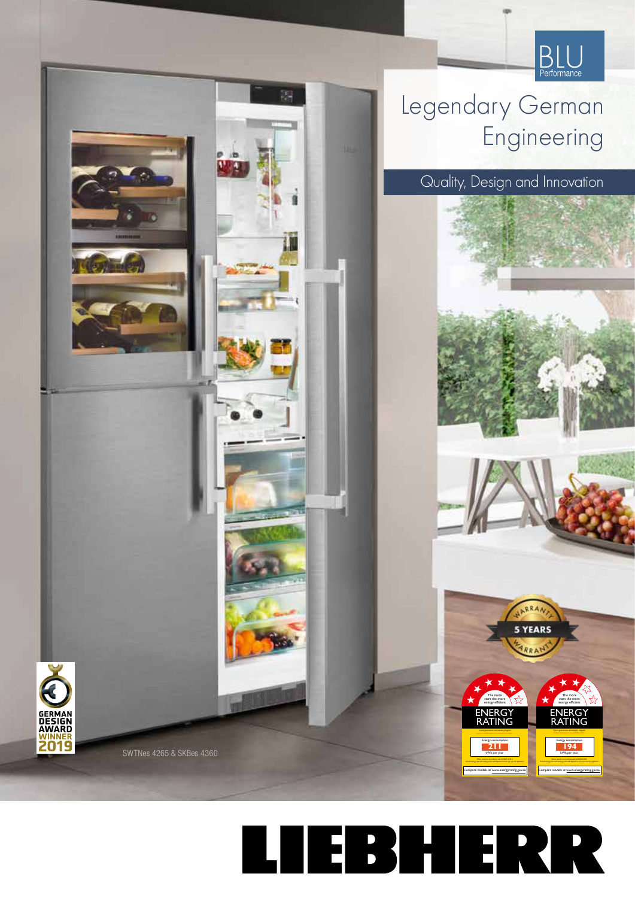

**ENERGY** RATING

ENERGY RATING

*A joint government and indust*r*y program* Energy consumption **211** kWh per year Actual energy use and running costs will depend on how you use the appliance. Compare models at www.energyrating.gov.au

The more stars the more energy efficient

> *A joint government and industry program* Energy consumption kWh per year **194** Actual energy use and running costs will depend on how you use the appliance. Compare models at www.energyrating.gov.au

The more stars the more energy efficien

**5 YEARS** 

## Legendary German Engineering

鷚

Quality, Design and Innovation



SWTNes 4265 & SKBes 4360